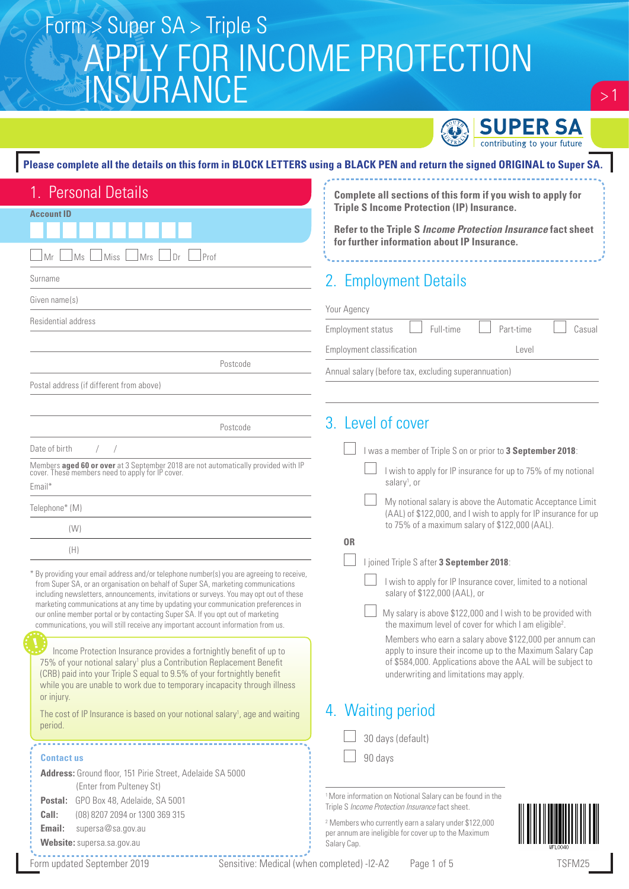

 $\geq$  1

#### **Please complete all the details on this form in BLOCK LETTERS using a BLACK PEN and return the signed ORIGINAL to Super SA.**

| 1. Personal Details                                                                                                                                                                                                                                                                                                                                                                                                                                                                                                                                                                                                                                                                                                                                                                                                                                                    | Complete all sections of this form if you wish to apply for                                                                                                                                                                                                                                                                                                                                                                                                                                                       |  |  |  |  |
|------------------------------------------------------------------------------------------------------------------------------------------------------------------------------------------------------------------------------------------------------------------------------------------------------------------------------------------------------------------------------------------------------------------------------------------------------------------------------------------------------------------------------------------------------------------------------------------------------------------------------------------------------------------------------------------------------------------------------------------------------------------------------------------------------------------------------------------------------------------------|-------------------------------------------------------------------------------------------------------------------------------------------------------------------------------------------------------------------------------------------------------------------------------------------------------------------------------------------------------------------------------------------------------------------------------------------------------------------------------------------------------------------|--|--|--|--|
| Account ID                                                                                                                                                                                                                                                                                                                                                                                                                                                                                                                                                                                                                                                                                                                                                                                                                                                             | <b>Triple S Income Protection (IP) Insurance.</b>                                                                                                                                                                                                                                                                                                                                                                                                                                                                 |  |  |  |  |
|                                                                                                                                                                                                                                                                                                                                                                                                                                                                                                                                                                                                                                                                                                                                                                                                                                                                        | Refer to the Triple S Income Protection Insurance fact sheet<br>for further information about IP Insurance.                                                                                                                                                                                                                                                                                                                                                                                                       |  |  |  |  |
| Ms<br>Mrs<br>Prof<br>Miss<br>Dr<br>Mr                                                                                                                                                                                                                                                                                                                                                                                                                                                                                                                                                                                                                                                                                                                                                                                                                                  |                                                                                                                                                                                                                                                                                                                                                                                                                                                                                                                   |  |  |  |  |
| Surname                                                                                                                                                                                                                                                                                                                                                                                                                                                                                                                                                                                                                                                                                                                                                                                                                                                                | 2. Employment Details                                                                                                                                                                                                                                                                                                                                                                                                                                                                                             |  |  |  |  |
| Given name(s)                                                                                                                                                                                                                                                                                                                                                                                                                                                                                                                                                                                                                                                                                                                                                                                                                                                          | Your Agency                                                                                                                                                                                                                                                                                                                                                                                                                                                                                                       |  |  |  |  |
| Residential address                                                                                                                                                                                                                                                                                                                                                                                                                                                                                                                                                                                                                                                                                                                                                                                                                                                    | Full-time<br>Part-time<br>Casual<br>Employment status                                                                                                                                                                                                                                                                                                                                                                                                                                                             |  |  |  |  |
|                                                                                                                                                                                                                                                                                                                                                                                                                                                                                                                                                                                                                                                                                                                                                                                                                                                                        | <b>Employment classification</b><br>Level                                                                                                                                                                                                                                                                                                                                                                                                                                                                         |  |  |  |  |
| Postcode                                                                                                                                                                                                                                                                                                                                                                                                                                                                                                                                                                                                                                                                                                                                                                                                                                                               | Annual salary (before tax, excluding superannuation)                                                                                                                                                                                                                                                                                                                                                                                                                                                              |  |  |  |  |
| Postal address (if different from above)                                                                                                                                                                                                                                                                                                                                                                                                                                                                                                                                                                                                                                                                                                                                                                                                                               |                                                                                                                                                                                                                                                                                                                                                                                                                                                                                                                   |  |  |  |  |
|                                                                                                                                                                                                                                                                                                                                                                                                                                                                                                                                                                                                                                                                                                                                                                                                                                                                        |                                                                                                                                                                                                                                                                                                                                                                                                                                                                                                                   |  |  |  |  |
| Postcode                                                                                                                                                                                                                                                                                                                                                                                                                                                                                                                                                                                                                                                                                                                                                                                                                                                               | 3. Level of cover                                                                                                                                                                                                                                                                                                                                                                                                                                                                                                 |  |  |  |  |
| Date of birth                                                                                                                                                                                                                                                                                                                                                                                                                                                                                                                                                                                                                                                                                                                                                                                                                                                          | I was a member of Triple S on or prior to 3 September 2018:                                                                                                                                                                                                                                                                                                                                                                                                                                                       |  |  |  |  |
| Members <b>aged 60 or over</b> at 3 September 2018 are not automatically provided with IP cover. These members need to apply for IP cover.<br>Email*                                                                                                                                                                                                                                                                                                                                                                                                                                                                                                                                                                                                                                                                                                                   | I wish to apply for IP insurance for up to 75% of my notional<br>salary <sup>1</sup> , or                                                                                                                                                                                                                                                                                                                                                                                                                         |  |  |  |  |
| Telephone* (M)                                                                                                                                                                                                                                                                                                                                                                                                                                                                                                                                                                                                                                                                                                                                                                                                                                                         | My notional salary is above the Automatic Acceptance Limit<br>(AAL) of \$122,000, and I wish to apply for IP insurance for up                                                                                                                                                                                                                                                                                                                                                                                     |  |  |  |  |
| (W)                                                                                                                                                                                                                                                                                                                                                                                                                                                                                                                                                                                                                                                                                                                                                                                                                                                                    | to 75% of a maximum salary of \$122,000 (AAL).                                                                                                                                                                                                                                                                                                                                                                                                                                                                    |  |  |  |  |
| (H)                                                                                                                                                                                                                                                                                                                                                                                                                                                                                                                                                                                                                                                                                                                                                                                                                                                                    | 0 <sub>R</sub>                                                                                                                                                                                                                                                                                                                                                                                                                                                                                                    |  |  |  |  |
| * By providing your email address and/or telephone number(s) you are agreeing to receive,<br>from Super SA, or an organisation on behalf of Super SA, marketing communications<br>including newsletters, announcements, invitations or surveys. You may opt out of these<br>marketing communications at any time by updating your communication preferences in<br>our online member portal or by contacting Super SA. If you opt out of marketing<br>communications, you will still receive any important account information from us.<br>Income Protection Insurance provides a fortnightly benefit of up to<br>75% of your notional salary <sup>1</sup> plus a Contribution Replacement Benefit<br>(CRB) paid into your Triple S equal to 9.5% of your fortnightly benefit<br>while you are unable to work due to temporary incapacity through illness<br>or injury. | I joined Triple S after 3 September 2018:<br>I wish to apply for IP Insurance cover, limited to a notional<br>salary of \$122,000 (AAL), or<br>My salary is above \$122,000 and I wish to be provided with<br>the maximum level of cover for which I am eligible <sup>2</sup> .<br>Members who earn a salary above \$122,000 per annum can<br>apply to insure their income up to the Maximum Salary Cap<br>of \$584,000. Applications above the AAL will be subject to<br>underwriting and limitations may apply. |  |  |  |  |
| The cost of IP Insurance is based on your notional salary <sup>1</sup> , age and waiting                                                                                                                                                                                                                                                                                                                                                                                                                                                                                                                                                                                                                                                                                                                                                                               | 4. Waiting period                                                                                                                                                                                                                                                                                                                                                                                                                                                                                                 |  |  |  |  |
| period.                                                                                                                                                                                                                                                                                                                                                                                                                                                                                                                                                                                                                                                                                                                                                                                                                                                                | 30 days (default)                                                                                                                                                                                                                                                                                                                                                                                                                                                                                                 |  |  |  |  |
| <b>Contactus</b>                                                                                                                                                                                                                                                                                                                                                                                                                                                                                                                                                                                                                                                                                                                                                                                                                                                       | 90 days                                                                                                                                                                                                                                                                                                                                                                                                                                                                                                           |  |  |  |  |
| Address: Ground floor, 151 Pirie Street, Adelaide SA 5000                                                                                                                                                                                                                                                                                                                                                                                                                                                                                                                                                                                                                                                                                                                                                                                                              |                                                                                                                                                                                                                                                                                                                                                                                                                                                                                                                   |  |  |  |  |
| (Enter from Pulteney St)<br>GPO Box 48, Adelaide, SA 5001<br>Postal:                                                                                                                                                                                                                                                                                                                                                                                                                                                                                                                                                                                                                                                                                                                                                                                                   | <sup>1</sup> More information on Notional Salary can be found in the                                                                                                                                                                                                                                                                                                                                                                                                                                              |  |  |  |  |
| Call:<br>(08) 8207 2094 or 1300 369 315                                                                                                                                                                                                                                                                                                                                                                                                                                                                                                                                                                                                                                                                                                                                                                                                                                | Triple S Income Protection Insurance fact sheet.                                                                                                                                                                                                                                                                                                                                                                                                                                                                  |  |  |  |  |
| Email:<br>supersa@sa.gov.au<br>Website: supersa.sa.gov.au                                                                                                                                                                                                                                                                                                                                                                                                                                                                                                                                                                                                                                                                                                                                                                                                              | <sup>2</sup> Members who currently earn a salary under \$122,000<br>per annum are ineligible for cover up to the Maximum<br>Salary Cap.                                                                                                                                                                                                                                                                                                                                                                           |  |  |  |  |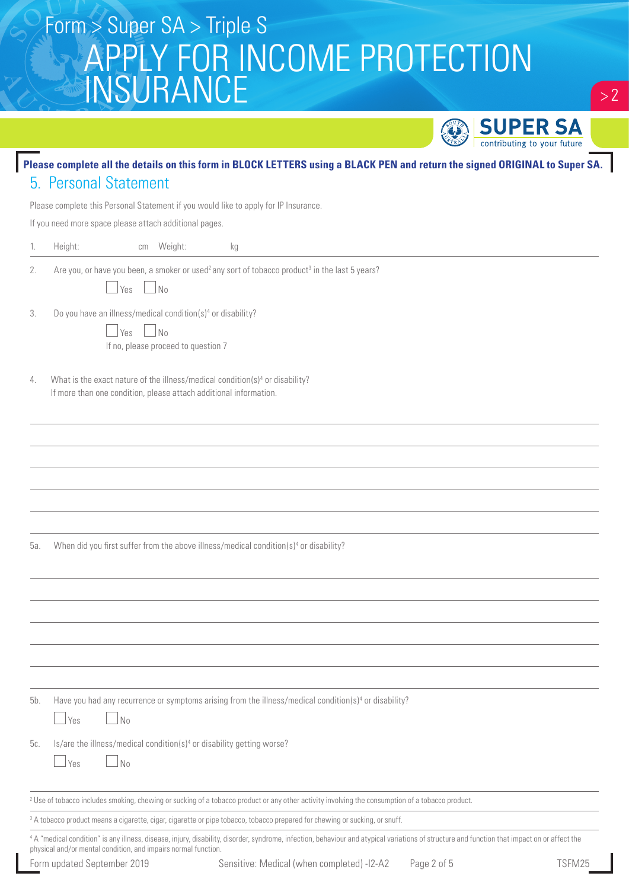|                             |                                                                                                                                                               |                                                                                                                                                                                              |             | <b>SUPER SA</b>             |        |
|-----------------------------|---------------------------------------------------------------------------------------------------------------------------------------------------------------|----------------------------------------------------------------------------------------------------------------------------------------------------------------------------------------------|-------------|-----------------------------|--------|
|                             |                                                                                                                                                               | Please complete all the details on this form in BLOCK LETTERS using a BLACK PEN and return the signed ORIGINAL to Super SA.                                                                  |             | contributing to your future |        |
|                             | 5. Personal Statement                                                                                                                                         |                                                                                                                                                                                              |             |                             |        |
|                             |                                                                                                                                                               | Please complete this Personal Statement if you would like to apply for IP Insurance.                                                                                                         |             |                             |        |
|                             | If you need more space please attach additional pages.                                                                                                        |                                                                                                                                                                                              |             |                             |        |
| Height:<br>1.               | Weight:<br>cm                                                                                                                                                 | kg                                                                                                                                                                                           |             |                             |        |
| 2.                          | No.<br><b>Yes</b>                                                                                                                                             | Are you, or have you been, a smoker or used <sup>2</sup> any sort of tobacco product <sup>3</sup> in the last 5 years?                                                                       |             |                             |        |
| 3.                          | Do you have an illness/medical condition(s) <sup>4</sup> or disability?<br>N <sub>0</sub><br>Yes<br>If no, please proceed to question 7                       |                                                                                                                                                                                              |             |                             |        |
| 4.                          | What is the exact nature of the illness/medical condition(s) <sup>4</sup> or disability?<br>If more than one condition, please attach additional information. |                                                                                                                                                                                              |             |                             |        |
|                             |                                                                                                                                                               |                                                                                                                                                                                              |             |                             |        |
|                             |                                                                                                                                                               |                                                                                                                                                                                              |             |                             |        |
|                             |                                                                                                                                                               |                                                                                                                                                                                              |             |                             |        |
| 5а.                         |                                                                                                                                                               | When did you first suffer from the above illness/medical condition(s) <sup>4</sup> or disability?                                                                                            |             |                             |        |
|                             |                                                                                                                                                               |                                                                                                                                                                                              |             |                             |        |
|                             |                                                                                                                                                               |                                                                                                                                                                                              |             |                             |        |
|                             |                                                                                                                                                               |                                                                                                                                                                                              |             |                             |        |
| 5b.<br><b>Yes</b>           | No                                                                                                                                                            | Have you had any recurrence or symptoms arising from the illness/medical condition(s) <sup>4</sup> or disability?                                                                            |             |                             |        |
| 5c.<br><b>Yes</b>           | Is/are the illness/medical condition(s) <sup>4</sup> or disability getting worse?<br>$\Box$ No                                                                |                                                                                                                                                                                              |             |                             |        |
|                             |                                                                                                                                                               | <sup>2</sup> Use of tobacco includes smoking, chewing or sucking of a tobacco product or any other activity involving the consumption of a tobacco product.                                  |             |                             |        |
|                             |                                                                                                                                                               | <sup>3</sup> A tobacco product means a cigarette, cigar, cigarette or pipe tobacco, tobacco prepared for chewing or sucking, or snuff.                                                       |             |                             |        |
|                             | physical and/or mental condition, and impairs normal function.                                                                                                | 4 A "medical condition" is any illness, disease, injury, disability, disorder, syndrome, infection, behaviour and atypical variations of structure and function that impact on or affect the |             |                             |        |
| Form updated September 2019 |                                                                                                                                                               | Sensitive: Medical (when completed) -I2-A2                                                                                                                                                   | Page 2 of 5 |                             | TSFM25 |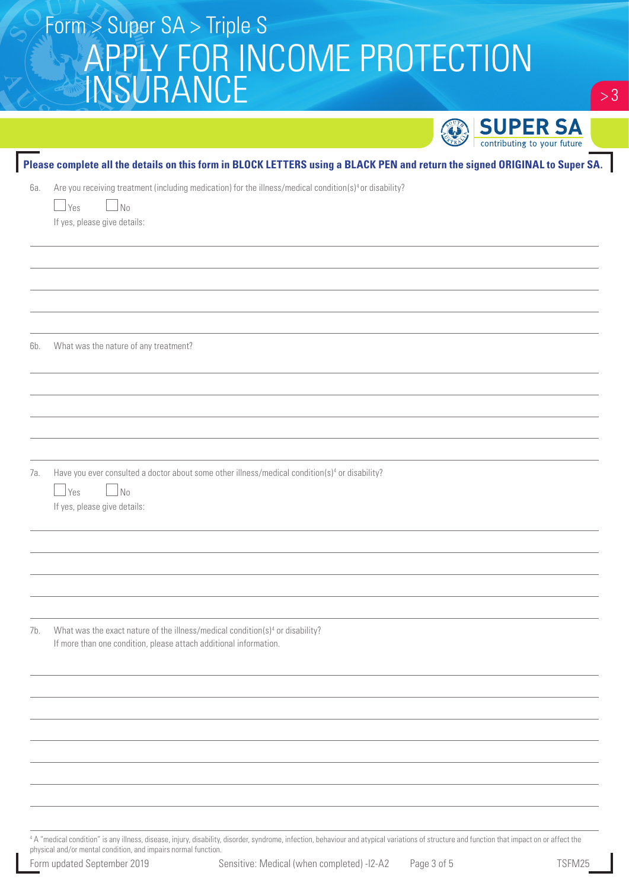|     | Please complete all the details on this form in BLOCK LETTERS using a BLACK PEN and return the signed ORIGINAL to Super SA.                                                    |
|-----|--------------------------------------------------------------------------------------------------------------------------------------------------------------------------------|
| 6а. | Are you receiving treatment (including medication) for the illness/medical condition(s) <sup>4</sup> or disability?<br>$\Box$ Yes<br>$\Box$ No<br>If yes, please give details: |
| 6b. | What was the nature of any treatment?                                                                                                                                          |
| 7а. | Have you ever consulted a doctor about some other illness/medical condition(s) <sup>4</sup> or disability?                                                                     |
|     | $\Box$ Yes<br>$\Box$ No<br>If yes, please give details:                                                                                                                        |
| 7b. | What was the exact nature of the illness/medical condition(s) <sup>4</sup> or disability?<br>If more than one condition, please attach additional information.                 |
|     |                                                                                                                                                                                |
|     |                                                                                                                                                                                |

 A "medical condition" is any illness, disease, injury, disability, disorder, syndrome, infection, behaviour and atypical variations of structure and function that impact on or affect the physical and/or mental condition, and impairs normal function.

 $> 3$ 

**SUPER SA**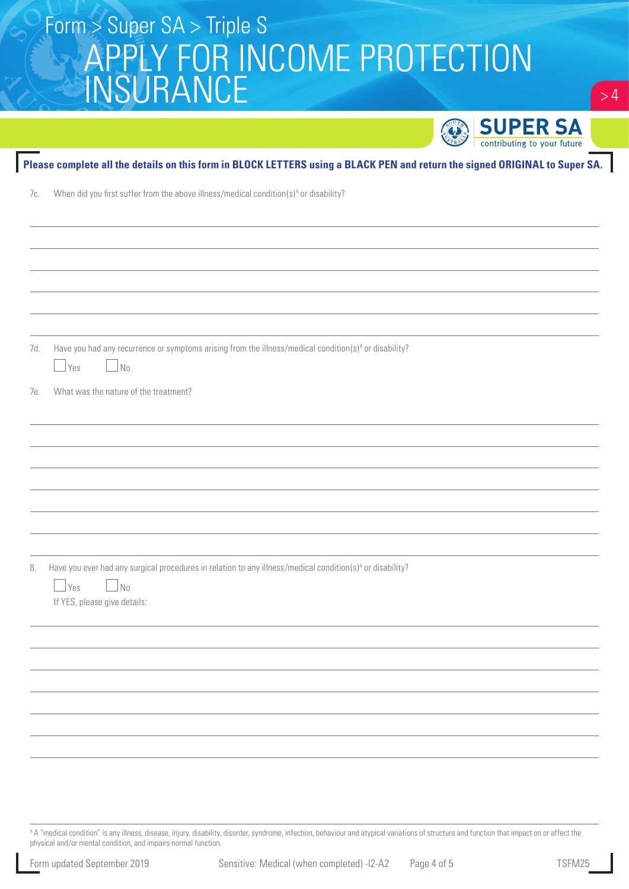| $\sim$ 1 community to your rature                                                                                                                      |
|--------------------------------------------------------------------------------------------------------------------------------------------------------|
| Please complete all the details on this form in BLOCK LETTERS using a BLACK PEN and return the signed ORIGINAL to Super SA.                            |
| When did you first suffer from the above illness/medical condition(s) <sup>4</sup> or disability?<br>7c.                                               |
|                                                                                                                                                        |
|                                                                                                                                                        |
|                                                                                                                                                        |
|                                                                                                                                                        |
|                                                                                                                                                        |
|                                                                                                                                                        |
| Have you had any recurrence or symptoms arising from the illness/medical condition(s) <sup>4</sup> or disability?<br>7d.                               |
| $\Box$ Yes<br>$\overline{\phantom{0}}$ No                                                                                                              |
| What was the nature of the treatment?<br>7е.                                                                                                           |
|                                                                                                                                                        |
|                                                                                                                                                        |
|                                                                                                                                                        |
|                                                                                                                                                        |
|                                                                                                                                                        |
|                                                                                                                                                        |
|                                                                                                                                                        |
| Have you ever had any surgical procedures in relation to any illness/medical condition(s) <sup>4</sup> or disability?<br>8.<br>$\Box$ Yes<br>$\Box$ No |
| If YES, please give details:                                                                                                                           |
|                                                                                                                                                        |
|                                                                                                                                                        |
|                                                                                                                                                        |
|                                                                                                                                                        |
|                                                                                                                                                        |
|                                                                                                                                                        |
|                                                                                                                                                        |
|                                                                                                                                                        |

4 A "medical condition" is any illness, disease, injury, disability, disorder, syndrome, infection, behaviour and atypical variations of structure and function that impact on or affect the physical and/or mental condition, and impairs normal function.

 $> 4$ 

**SUPER SA** 

O,